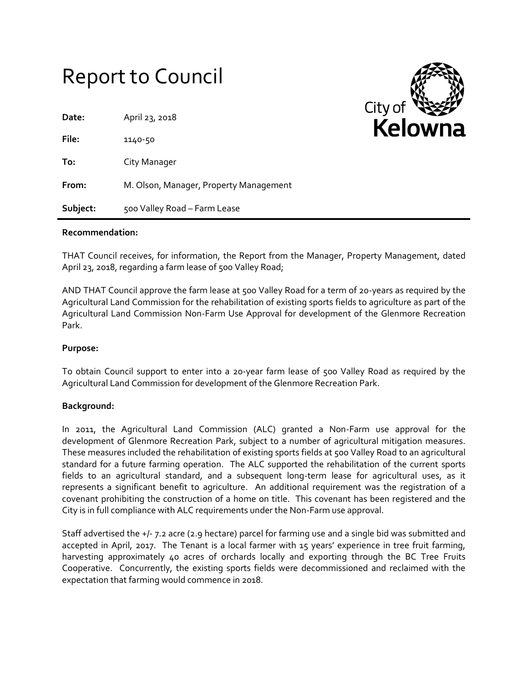# Report to Council

| Date:    | April 23, 2018                         |
|----------|----------------------------------------|
| File:    | 1140-50                                |
| To:      | City Manager                           |
| From:    | M. Olson, Manager, Property Management |
| Subject: | 500 Valley Road - Farm Lease           |



#### **Recommendation:**

THAT Council receives, for information, the Report from the Manager, Property Management, dated April 23, 2018, regarding a farm lease of 500 Valley Road;

AND THAT Council approve the farm lease at 500 Valley Road for a term of 20-years as required by the Agricultural Land Commission for the rehabilitation of existing sports fields to agriculture as part of the Agricultural Land Commission Non-Farm Use Approval for development of the Glenmore Recreation Park.

#### **Purpose:**

To obtain Council support to enter into a 20-year farm lease of 500 Valley Road as required by the Agricultural Land Commission for development of the Glenmore Recreation Park.

#### **Background:**

In 2011, the Agricultural Land Commission (ALC) granted a Non-Farm use approval for the development of Glenmore Recreation Park, subject to a number of agricultural mitigation measures. These measures included the rehabilitation of existing sports fields at 500 Valley Road to an agricultural standard for a future farming operation. The ALC supported the rehabilitation of the current sports fields to an agricultural standard, and a subsequent long-term lease for agricultural uses, as it represents a significant benefit to agriculture. An additional requirement was the registration of a covenant prohibiting the construction of a home on title. This covenant has been registered and the City is in full compliance with ALC requirements under the Non-Farm use approval.

Staff advertised the +/- 7.2 acre (2.9 hectare) parcel for farming use and a single bid was submitted and accepted in April, 2017. The Tenant is a local farmer with 15 years' experience in tree fruit farming, harvesting approximately 40 acres of orchards locally and exporting through the BC Tree Fruits Cooperative. Concurrently, the existing sports fields were decommissioned and reclaimed with the expectation that farming would commence in 2018.